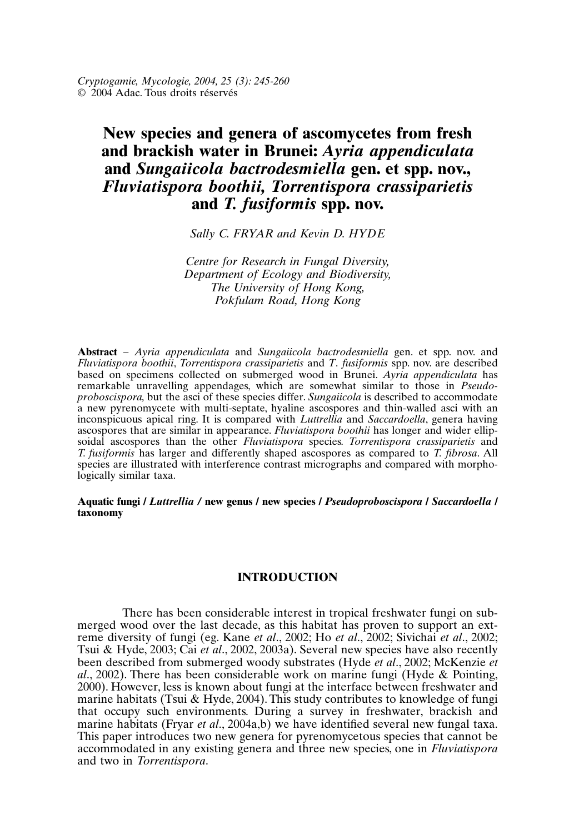*Cryptogamie, Mycologie, 2004, 25 (3): 245-260* © 2004 Adac. Tous droits réservés

# **New species and genera of ascomycetes from fresh and brackish water in Brunei:** *Ayria appendiculata* **and** *Sungaiicola bactrodesmiella* **gen. et spp. nov.,** *Fluviatispora boothii, Torrentispora crassiparietis* **and** *T. fusiformis* **spp. nov.**

*Sally C. FRYAR and Kevin D. HYDE*

*Centre for Research in Fungal Diversity, Department of Ecology and Biodiversity, The University of Hong Kong, Pokfulam Road, Hong Kong*

**Abstract** – *Ayria appendiculata* and *Sungaiicola bactrodesmiella* gen. et spp. nov. and *Fluviatispora boothii*, *Torrentispora crassiparietis* and *T*. *fusiformis* spp. nov. are described based on specimens collected on submerged wood in Brunei. *Ayria appendiculata* has remarkable unravelling appendages, which are somewhat similar to those in *Pseudoproboscispora,* but the asci of these species differ. *Sungaiicola* is described to accommodate a new pyrenomycete with multi-septate, hyaline ascospores and thin-walled asci with an inconspicuous apical ring. It is compared with *Luttrellia* and *Saccardoella*, genera having ascospores that are similar in appearance. *Fluviatispora boothii* has longer and wider ellipsoidal ascospores than the other *Fluviatispora* species. *Torrentispora crassiparietis* and *T. fusiformis* has larger and differently shaped ascospores as compared to *T. fibrosa*. All species are illustrated with interference contrast micrographs and compared with morphologically similar taxa.

### **Aquatic fungi /** *Luttrellia /* **new genus / new species /** *Pseudoproboscispora* **/** *Saccardoella* **/ taxonomy**

### **INTRODUCTION**

There has been considerable interest in tropical freshwater fungi on submerged wood over the last decade, as this habitat has proven to support an extreme diversity of fungi (eg. Kane *et al*., 2002; Ho *et al*., 2002; Sivichai *et al*., 2002; Tsui & Hyde, 2003; Cai *et al*., 2002, 2003a). Several new species have also recently been described from submerged woody substrates (Hyde *et al*., 2002; McKenzie *et al*., 2002). There has been considerable work on marine fungi (Hyde & Pointing, 2000). However, less is known about fungi at the interface between freshwater and marine habitats (Tsui & Hyde, 2004). This study contributes to knowledge of fungi that occupy such environments. During a survey in freshwater, brackish and marine habitats (Fryar *et al*., 2004a,b) we have identified several new fungal taxa. This paper introduces two new genera for pyrenomycetous species that cannot be accommodated in any existing genera and three new species, one in *Fluviatispora* and two in *Torrentispora*.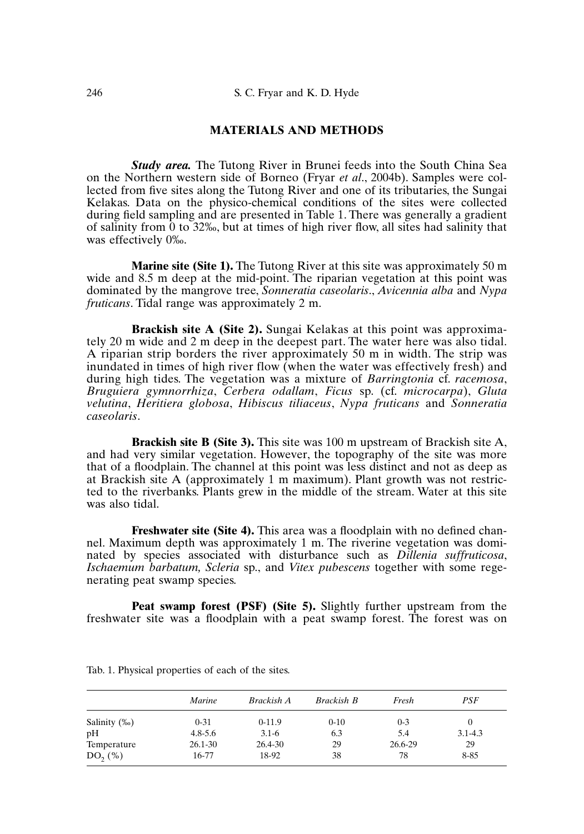# **MATERIALS AND METHODS**

*Study area.* The Tutong River in Brunei feeds into the South China Sea on the Northern western side of Borneo (Fryar *et al*., 2004b). Samples were collected from five sites along the Tutong River and one of its tributaries, the Sungai Kelakas. Data on the physico-chemical conditions of the sites were collected during field sampling and are presented in Table 1. There was generally a gradient of salinity from  $\overline{0}$  to 32‰, but at times of high river flow, all sites had salinity that was effectively 0‰.

**Marine site (Site 1).** The Tutong River at this site was approximately 50 m wide and 8.5 m deep at the mid-point. The riparian vegetation at this point was dominated by the mangrove tree, *Sonneratia caseolaris*., *Avicennia alba* and *Nypa fruticans*. Tidal range was approximately 2 m.

**Brackish site A (Site 2).** Sungai Kelakas at this point was approximately 20 m wide and 2 m deep in the deepest part. The water here was also tidal. A riparian strip borders the river approximately 50 m in width. The strip was inundated in times of high river flow (when the water was effectively fresh) and during high tides. The vegetation was a mixture of *Barringtonia* cf. *racemosa*, *Bruguiera gymnorrhiza*, *Cerbera odallam*, *Ficus* sp. (cf. *microcarpa*), *Gluta velutina*, *Heritiera globosa*, *Hibiscus tiliaceus*, *Nypa fruticans* and *Sonneratia caseolaris*.

**Brackish site B (Site 3).** This site was 100 m upstream of Brackish site A, and had very similar vegetation. However, the topography of the site was more that of a floodplain. The channel at this point was less distinct and not as deep as at Brackish site A (approximately 1 m maximum). Plant growth was not restricted to the riverbanks. Plants grew in the middle of the stream. Water at this site was also tidal.

**Freshwater site (Site 4).** This area was a floodplain with no defined channel. Maximum depth was approximately 1 m. The riverine vegetation was dominated by species associated with disturbance such as *Dillenia suffruticosa*, *Ischaemum barbatum, Scleria* sp., and *Vitex pubescens* together with some regenerating peat swamp species.

**Peat swamp forest (PSF) (Site 5).** Slightly further upstream from the freshwater site was a floodplain with a peat swamp forest. The forest was on

|              | <i>Marine</i> | Brackish A | Brackish B | Fresh   | PSF         |
|--------------|---------------|------------|------------|---------|-------------|
| Salinity (‰) | $0 - 31$      | $0-11.9$   | $0 - 10$   | $0 - 3$ | $\theta$    |
| pH           | $4.8 - 5.6$   | $3.1 - 6$  | 6.3        | 5.4     | $3.1 - 4.3$ |
| Temperature  | 26.1-30       | 26.4-30    | 29         | 26.6-29 | 29          |
| $DO_{2}(\%)$ | 16-77         | 18-92      | 38         | 78      | $8 - 85$    |

Tab. 1. Physical properties of each of the sites.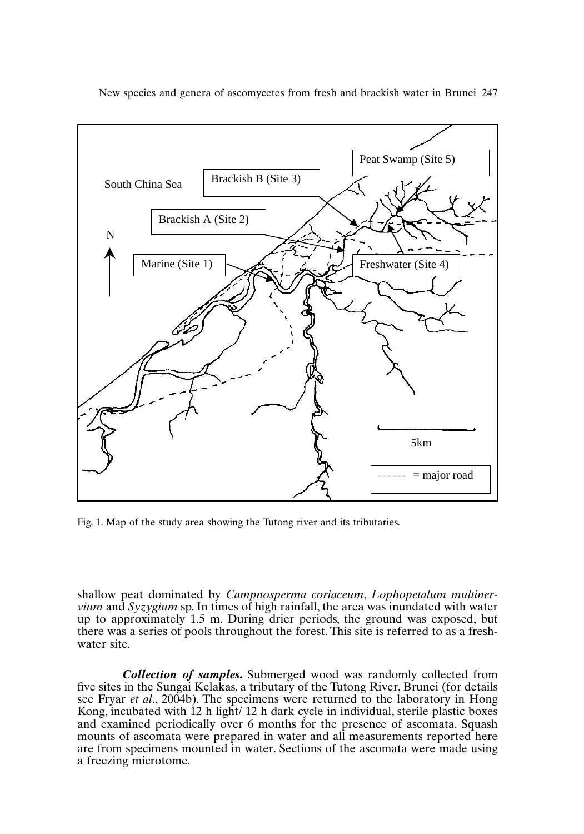

Fig. 1. Map of the study area showing the Tutong river and its tributaries.

shallow peat dominated by *Campnosperma coriaceum*, *Lophopetalum multinervium* and *Syzygium* sp. In times of high rainfall, the area was inundated with water up to approximately 1.5 m. During drier periods, the ground was exposed, but there was a series of pools throughout the forest. This site is referred to as a freshwater site.

*Collection of samples***.** Submerged wood was randomly collected from five sites in the Sungai Kelakas, a tributary of the Tutong River, Brunei (for details see Fryar *et al*., 2004b). The specimens were returned to the laboratory in Hong Kong, incubated with 12 h light/ 12 h dark cycle in individual, sterile plastic boxes and examined periodically over 6 months for the presence of ascomata. Squash mounts of ascomata were prepared in water and all measurements reported here are from specimens mounted in water. Sections of the ascomata were made using a freezing microtome.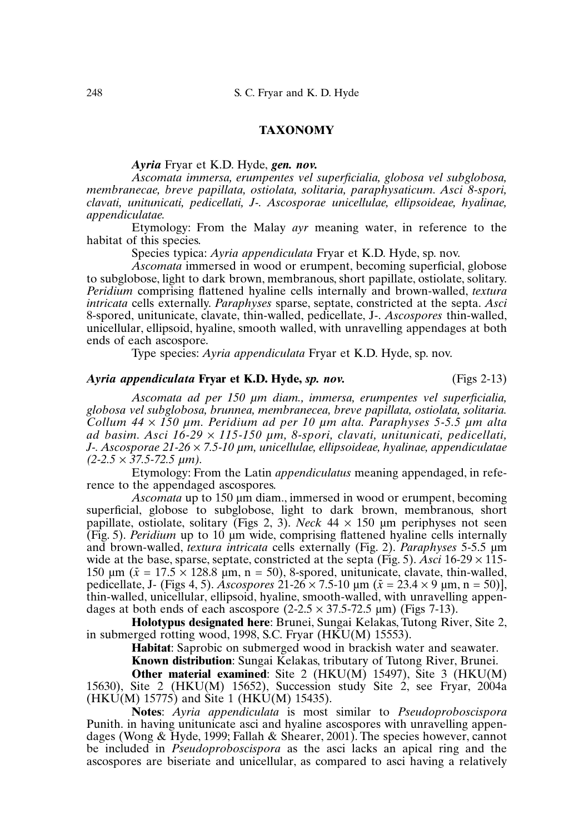### **TAXONOMY**

#### *Ayria* Fryar et K.D. Hyde, *gen. nov.*

*Ascomata immersa, erumpentes vel superficialia, globosa vel subglobosa, membranecae, breve papillata, ostiolata, solitaria, paraphysaticum. Asci 8-spori, clavati, unitunicati, pedicellati, J-. Ascosporae unicellulae, ellipsoideae, hyalinae, appendiculatae.*

Etymology: From the Malay *ayr* meaning water, in reference to the habitat of this species.

Species typica: *Ayria appendiculata* Fryar et K.D. Hyde, sp. nov.

*Ascomata* immersed in wood or erumpent, becoming superficial, globose to subglobose, light to dark brown, membranous, short papillate, ostiolate, solitary. *Peridium* comprising flattened hyaline cells internally and brown-walled, *textura intricata* cells externally. *Paraphyses* sparse, septate, constricted at the septa. *Asci* 8-spored, unitunicate, clavate, thin-walled, pedicellate, J-. *Ascospores* thin-walled, unicellular, ellipsoid, hyaline, smooth walled, with unravelling appendages at both ends of each ascospore.

Type species: *Ayria appendiculata* Fryar et K.D. Hyde, sp. nov.

### *Ayria appendiculata* **Fryar et K.D. Hyde,** *sp. nov.* (Figs 2-13)

*Ascomata ad per 150 µm diam., immersa, erumpentes vel superficialia, globosa vel subglobosa, brunnea, membranecea, breve papillata, ostiolata, solitaria. Collum 44* × *150 µm. Peridium ad per 10 µm alta. Paraphyses 5-5.5 µm alta ad basim. Asci 16-29* × *115-150 µm, 8-spori, clavati, unitunicati, pedicellati, J-. Ascosporae 21-26* × *7.5-10 µm, unicellulae, ellipsoideae, hyalinae, appendiculatae (2-2.5* × *37.5-72.5 µm).*

Etymology: From the Latin *appendiculatus* meaning appendaged, in reference to the appendaged ascospores.

*Ascomata* up to 150 µm diam., immersed in wood or erumpent, becoming superficial, globose to subglobose, light to dark brown, membranous, short papillate, ostiolate, solitary (Figs 2, 3). *Neck*  $44 \times 150$  µm periphyses not seen (Fig. 5). *Peridium* up to 10 µm wide, comprising flattened hyaline cells internally and brown-walled, *textura intricata* cells externally (Fig. 2). *Paraphyses* 5-5.5 µm wide at the base, sparse, septate, constricted at the septa (Fig. 5). Asci 16-29  $\times$  115-150  $\mu$ m ( $\bar{x} = 17.5 \times 128.8$   $\mu$ m, n = 50), 8-spored, unitunicate, clavate, thin-walled, pedicellate, J- (Figs 4, 5). *Ascospores*  $21-26 \times 7.5-10 \text{ µm}$  ( $\bar{x} = 23.4 \times 9 \text{ µm}, \text{n} = 50$ )], thin-walled, unicellular, ellipsoid, hyaline, smooth-walled, with unravelling appendages at both ends of each ascospore  $(2-2.5 \times 37.5-72.5 \text{ µm})$  (Figs 7-13).

**Holotypus designated here**: Brunei, Sungai Kelakas, Tutong River, Site 2, in submerged rotting wood, 1998, S.C. Fryar (HKU(M) 15553).

**Habitat**: Saprobic on submerged wood in brackish water and seawater.

**Known distribution**: Sungai Kelakas, tributary of Tutong River, Brunei. **Other material examined:** Site 2 (HKU(M) 15497), Site 3 (HKU(M)

15630), Site 2 (HKU(M) 15652), Succession study Site 2, see Fryar, 2004a (HKU(M) 15775) and Site 1 (HKU(M) 15435).

**Notes**: *Ayria appendiculata* is most similar to *Pseudoproboscispora* Punith. in having unitunicate asci and hyaline ascospores with unravelling appendages (Wong & Hyde, 1999; Fallah & Shearer, 2001). The species however, cannot be included in *Pseudoproboscispora* as the asci lacks an apical ring and the ascospores are biseriate and unicellular, as compared to asci having a relatively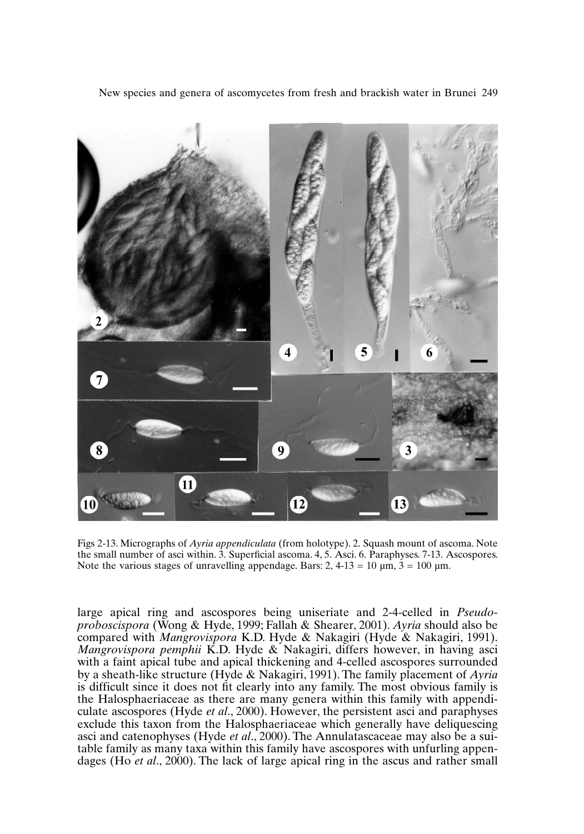

Figs 2-13. Micrographs of *Ayria appendiculata* (from holotype). 2. Squash mount of ascoma. Note the small number of asci within. 3. Superficial ascoma. 4, 5. Asci. 6. Paraphyses. 7-13. Ascospores. Note the various stages of unravelling appendage. Bars: 2, 4-13 = 10  $\mu$ m, 3 = 100  $\mu$ m.

large apical ring and ascospores being uniseriate and 2-4-celled in *Pseudoproboscispora* (Wong & Hyde, 1999; Fallah & Shearer, 2001). *Ayria* should also be compared with *Mangrovispora* K.D. Hyde & Nakagiri (Hyde & Nakagiri, 1991). *Mangrovispora pemphii* K.D. Hyde & Nakagiri, differs however, in having asci with a faint apical tube and apical thickening and 4-celled ascospores surrounded by a sheath-like structure (Hyde & Nakagiri, 1991). The family placement of *Ayria* is difficult since it does not fit clearly into any family. The most obvious family is the Halosphaeriaceae as there are many genera within this family with appendiculate ascospores (Hyde *et al*., 2000). However, the persistent asci and paraphyses exclude this taxon from the Halosphaeriaceae which generally have deliquescing asci and catenophyses (Hyde *et al*., 2000). The Annulatascaceae may also be a suitable family as many taxa within this family have ascospores with unfurling appendages (Ho *et al*., 2000). The lack of large apical ring in the ascus and rather small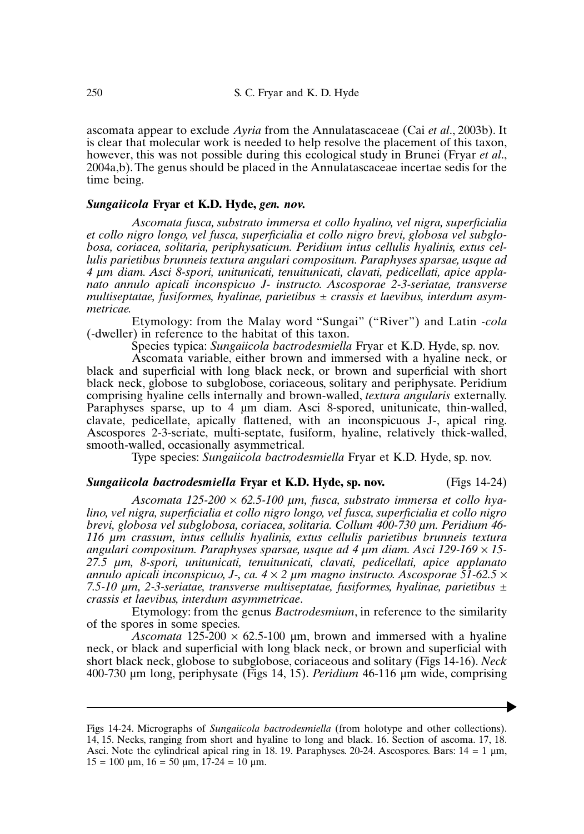ascomata appear to exclude *Ayria* from the Annulatascaceae (Cai *et al*., 2003b). It is clear that molecular work is needed to help resolve the placement of this taxon, however, this was not possible during this ecological study in Brunei (Fryar *et al*., 2004a,b). The genus should be placed in the Annulatascaceae incertae sedis for the time being.

### *Sungaiicola* **Fryar et K.D. Hyde,** *gen. nov.*

*Ascomata fusca, substrato immersa et collo hyalino, vel nigra, superficialia et collo nigro longo, vel fusca, superficialia et collo nigro brevi, globosa vel subglobosa, coriacea, solitaria, periphysaticum. Peridium intus cellulis hyalinis, extus cellulis parietibus brunneis textura angulari compositum. Paraphyses sparsae, usque ad 4 µm diam. Asci 8-spori, unitunicati, tenuitunicati, clavati, pedicellati, apice applanato annulo apicali inconspicuo J- instructo. Ascosporae 2-3-seriatae, transverse multiseptatae, fusiformes, hyalinae, parietibus ± crassis et laevibus, interdum asymmetricae.*

Etymology: from the Malay word "Sungai" ("River") and Latin *-cola* (-dweller) in reference to the habitat of this taxon.

Species typica: *Sungaiicola bactrodesmiella* Fryar et K.D. Hyde, sp. nov.

Ascomata variable, either brown and immersed with a hyaline neck, or black and superficial with long black neck, or brown and superficial with short black neck, globose to subglobose, coriaceous, solitary and periphysate. Peridium comprising hyaline cells internally and brown-walled, *textura angularis* externally. Paraphyses sparse, up to 4 µm diam. Asci 8-spored, unitunicate, thin-walled, clavate, pedicellate, apically flattened, with an inconspicuous J-, apical ring. Ascospores 2-3-seriate, multi-septate, fusiform, hyaline, relatively thick-walled, smooth-walled, occasionally asymmetrical.

Type species: *Sungaiicola bactrodesmiella* Fryar et K.D. Hyde, sp. nov.

# *Sungaiicola bactrodesmiella* **Fryar et K.D. Hyde, sp. nov.** (Figs 14-24)

▲

*Ascomata 125-200* × *62.5-100 µm, fusca, substrato immersa et collo hyalino, vel nigra, superficialia et collo nigro longo, vel fusca, superficialia et collo nigro brevi, globosa vel subglobosa, coriacea, solitaria. Collum 400-730 µm. Peridium 46- 116 µm crassum, intus cellulis hyalinis, extus cellulis parietibus brunneis textura angulari compositum. Paraphyses sparsae, usque ad 4 µm diam. Asci 129-169* × *15- 27.5 µm, 8-spori, unitunicati, tenuitunicati, clavati, pedicellati, apice applanato annulo apicali inconspicuo, J-, ca. 4* × *2 µm magno instructo. Ascosporae 51-62.5* × *7.5-10 µm, 2-3-seriatae, transverse multiseptatae, fusiformes, hyalinae, parietibus ± crassis et laevibus, interdum asymmetricae*.

Etymology: from the genus *Bactrodesmium*, in reference to the similarity of the spores in some species.

*Ascomata*  $125-200 \times 62.5-100 \mu m$ , brown and immersed with a hyaline neck, or black and superficial with long black neck, or brown and superficial with short black neck, globose to subglobose, coriaceous and solitary (Figs 14-16). *Neck* 400-730 µm long, periphysate (Figs 14, 15). *Peridium* 46-116 µm wide, comprising

Figs 14-24. Micrographs of *Sungaiicola bactrodesmiella* (from holotype and other collections). 14, 15. Necks, ranging from short and hyaline to long and black. 16. Section of ascoma. 17, 18. Asci. Note the cylindrical apical ring in 18. 19. Paraphyses. 20-24. Ascospores. Bars:  $14 = 1 \mu m$ ,  $15 = 100 \text{ µm}, 16 = 50 \text{ µm}, 17 - 24 = 10 \text{ µm}.$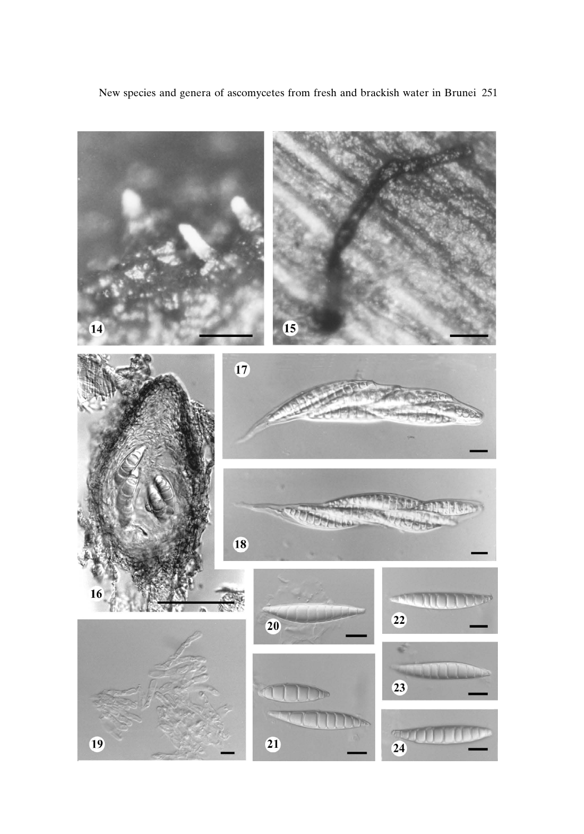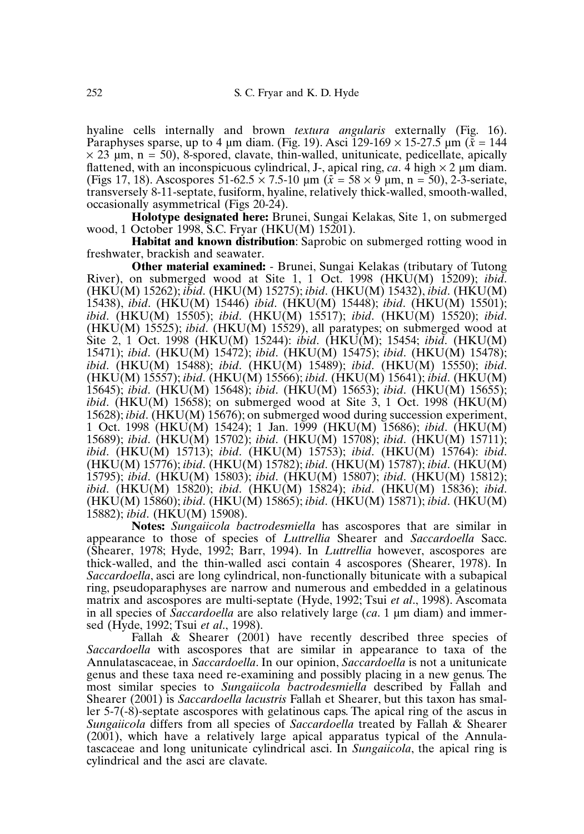hyaline cells internally and brown *textura angularis* externally (Fig. 16). Paraphyses sparse, up to 4  $\mu$ m diam. (Fig. 19). Asci 129-169  $\times$  15-27.5  $\mu$ m ( $\bar{x}$  = 144  $\times$  23  $\mu$ m, n = 50), 8-spored, clavate, thin-walled, unitunicate, pedicellate, apically flattened, with an inconspicuous cylindrical, J-, apical ring, *ca*.  $\overline{4}$  high  $\times$  2 µm diam. (Figs 17, 18). Ascospores 51-62.5  $\times$  7.5-10  $\mu$ m ( $\bar{x}$  = 58  $\times$  9  $\mu$ m, n = 50), 2-3-seriate, transversely 8-11-septate, fusiform, hyaline, relatively thick-walled, smooth-walled, occasionally asymmetrical (Figs 20-24).

**Holotype designated here:** Brunei, Sungai Kelakas, Site 1, on submerged wood, 1 October 1998, S.C. Fryar (HKU(M) 15201).

**Habitat and known distribution**: Saprobic on submerged rotting wood in freshwater, brackish and seawater.

**Other material examined:** - Brunei, Sungai Kelakas (tributary of Tutong River), on submerged wood at Site 1, 1 Oct. 1998 (HKU(M) 15209); *ibid*. (HKU(M) 15262); *ibid*. (HKU(M) 15275); *ibid*. (HKU(M) 15432), *ibid*. (HKU(M) 15438), *ibid*. (HKU(M) 15446) *ibid*. (HKU(M) 15448); *ibid*. (HKU(M) 15501); *ibid*. (HKU(M) 15505); *ibid*. (HKU(M) 15517); *ibid*. (HKU(M) 15520); *ibid*. (HKU(M) 15525); *ibid*. (HKU(M) 15529), all paratypes; on submerged wood at Site 2, 1 Oct. 1998 (HKU(M) 15244): *ibid*. (HKU(M); 15454; *ibid*. (HKU(M) 15471); *ibid*. (HKU(M) 15472); *ibid*. (HKU(M) 15475); *ibid*. (HKU(M) 15478); *ibid*. (HKU(M) 15488); *ibid*. (HKU(M) 15489); *ibid*. (HKU(M) 15550); *ibid*. (HKU(M) 15557); *ibid*. (HKU(M) 15566); *ibid*. (HKU(M) 15641); *ibid*. (HKU(M) 15645); *ibid*. (HKU(M) 15648); *ibid*. (HKU(M) 15653); *ibid*. (HKU(M) 15655); *ibid.* (HKU(M) 15658); on submerged wood at Site 3, 1 Oct. 1998 (HKU(M) 15628); *ibid*. (HKU(M) 15676); on submerged wood during succession experiment, 1 Oct. 1998 (HKU(M) 15424); 1 Jan. 1999 (HKU(M) 15686); *ibid*. (HKU(M) 15689); *ibid*. (HKU(M) 15702); *ibid*. (HKU(M) 15708); *ibid*. (HKU(M) 15711); *ibid*. (HKU(M) 15713); *ibid*. (HKU(M) 15753); *ibid*. (HKU(M) 15764): *ibid*. (HKU(M) 15776); *ibid*. (HKU(M) 15782); *ibid*. (HKU(M) 15787); *ibid*. (HKU(M) 15795); *ibid*. (HKU(M) 15803); *ibid*. (HKU(M) 15807); *ibid*. (HKU(M) 15812); *ibid*. (HKU(M) 15820); *ibid*. (HKU(M) 15824); *ibid*. (HKU(M) 15836); *ibid*. (HKU(M) 15860); *ibid*. (HKU(M) 15865); *ibid*. (HKU(M) 15871); *ibid*. (HKU(M) 15882); *ibid*. (HKU(M) 15908).

**Notes:** *Sungaiicola bactrodesmiella* has ascospores that are similar in appearance to those of species of *Luttrellia* Shearer and *Saccardoella* Sacc. (Shearer, 1978; Hyde, 1992; Barr, 1994). In *Luttrellia* however, ascospores are thick-walled, and the thin-walled asci contain 4 ascospores (Shearer, 1978). In *Saccardoella*, asci are long cylindrical, non-functionally bitunicate with a subapical ring, pseudoparaphyses are narrow and numerous and embedded in a gelatinous matrix and ascospores are multi-septate (Hyde, 1992; Tsui *et al*., 1998). Ascomata in all species of *Saccardoella* are also relatively large (*ca*. 1 µm diam) and immersed (Hyde, 1992; Tsui *et al*., 1998).

Fallah & Shearer (2001) have recently described three species of *Saccardoella* with ascospores that are similar in appearance to taxa of the Annulatascaceae, in *Saccardoella*. In our opinion, *Saccardoella* is not a unitunicate genus and these taxa need re-examining and possibly placing in a new genus. The most similar species to *Sungaiicola bactrodesmiella* described by Fallah and Shearer (2001) is *Saccardoella lacustris* Fallah et Shearer, but this taxon has smaller 5-7(-8)-septate ascospores with gelatinous caps. The apical ring of the ascus in *Sungaiicola* differs from all species of *Saccardoella* treated by Fallah & Shearer (2001), which have a relatively large apical apparatus typical of the Annulatascaceae and long unitunicate cylindrical asci. In *Sungaiicola*, the apical ring is cylindrical and the asci are clavate.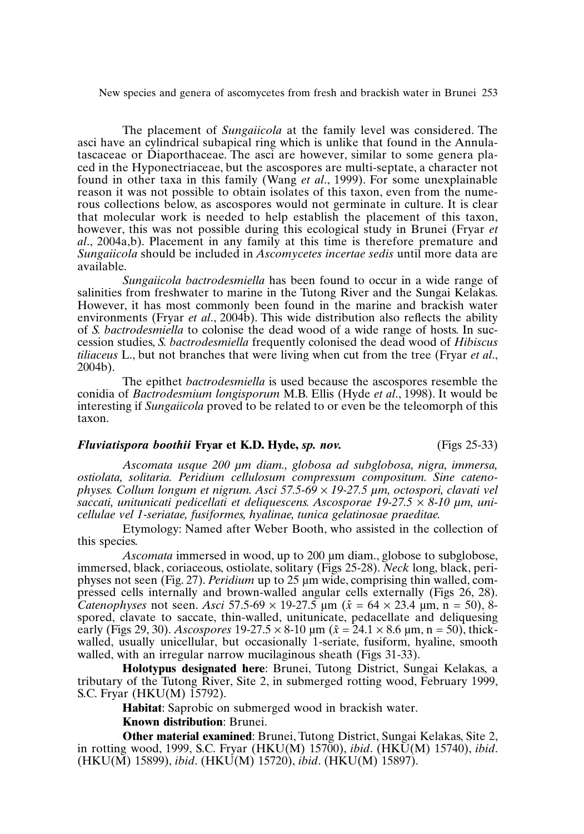The placement of *Sungaiicola* at the family level was considered. The asci have an cylindrical subapical ring which is unlike that found in the Annulatascaceae or Diaporthaceae. The asci are however, similar to some genera placed in the Hyponectriaceae, but the ascospores are multi-septate, a character not found in other taxa in this family (Wang *et al*., 1999). For some unexplainable reason it was not possible to obtain isolates of this taxon, even from the numerous collections below, as ascospores would not germinate in culture. It is clear that molecular work is needed to help establish the placement of this taxon, however, this was not possible during this ecological study in Brunei (Fryar *et al*., 2004a,b). Placement in any family at this time is therefore premature and *Sungaiicola* should be included in *Ascomycetes incertae sedis* until more data are available.

*Sungaiicola bactrodesmiella* has been found to occur in a wide range of salinities from freshwater to marine in the Tutong River and the Sungai Kelakas. However, it has most commonly been found in the marine and brackish water environments (Fryar *et al*., 2004b). This wide distribution also reflects the ability of *S. bactrodesmiella* to colonise the dead wood of a wide range of hosts. In succession studies, *S. bactrodesmiella* frequently colonised the dead wood of *Hibiscus tiliaceus* L., but not branches that were living when cut from the tree (Fryar *et al*., 2004b).

The epithet *bactrodesmiella* is used because the ascospores resemble the conidia of *Bactrodesmium longisporum* M.B. Ellis (Hyde *et al*., 1998). It would be interesting if *Sungaiicola* proved to be related to or even be the teleomorph of this taxon.

## *Fluviatispora boothii* **Fryar et K.D. Hyde,** *sp. nov.* (Figs 25-33)

*Ascomata usque 200 µm diam., globosa ad subglobosa, nigra, immersa, ostiolata, solitaria. Peridium cellulosum compressum compositum. Sine catenophyses. Collum longum et nigrum. Asci 57.5-69* × *19-27.5 µm, octospori, clavati vel saccati, unitunicati pedicellati et deliquescens. Ascosporae 19-27.5* × *8-10 µm, unicellulae vel 1-seriatae, fusiformes, hyalinae, tunica gelatinosae praeditae.*

Etymology: Named after Weber Booth, who assisted in the collection of this species.

*Ascomata* immersed in wood, up to 200 µm diam., globose to subglobose, immersed, black, coriaceous, ostiolate, solitary (Figs 25-28). *Neck* long, black, periphyses not seen (Fig. 27). *Peridium* up to 25 µm wide, comprising thin walled, compressed cells internally and brown-walled angular cells externally (Figs 26, 28). *Catenophyses* not seen. *Asci* 57.5-69  $\times$  19-27.5  $\mu$ m ( $\bar{x}$  = 64  $\times$  23.4  $\mu$ m, n = 50), 8spored, clavate to saccate, thin-walled, unitunicate, pedacellate and deliquesing early (Figs 29, 30). *Ascospores*  $19-27.5 \times 8-10 \mu m$  ( $\bar{x} = 24.1 \times 8.6 \mu m$ ,  $n = 50$ ), thickwalled, usually unicellular, but occasionally 1-seriate, fusiform, hyaline, smooth walled, with an irregular narrow mucilaginous sheath (Figs 31-33).

**Holotypus designated here**: Brunei, Tutong District, Sungai Kelakas, a tributary of the Tutong River, Site 2, in submerged rotting wood, February 1999, S.C. Fryar (HKU(M) 15792).

**Habitat**: Saprobic on submerged wood in brackish water.

**Known distribution**: Brunei.

**Other material examined**: Brunei, Tutong District, Sungai Kelakas, Site 2, in rotting wood, 1999, S.C. Fryar (HKU(M) 15700), *ibid*. (HKU(M) 15740), *ibid*. (HKU(M) 15899), *ibid*. (HKU(M) 15720), *ibid*. (HKU(M) 15897).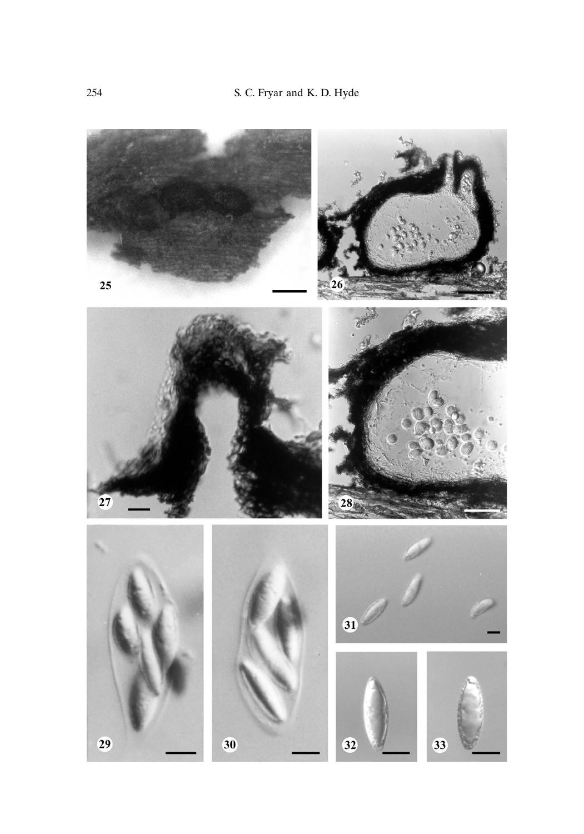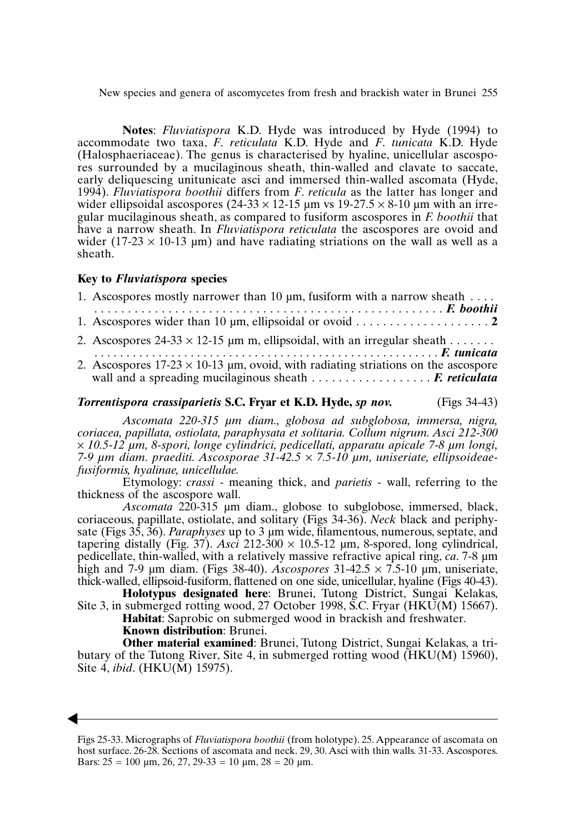**Notes**: *Fluviatispora* K.D. Hyde was introduced by Hyde (1994) to accommodate two taxa, *F*. *reticulata* K.D. Hyde and *F*. *tunicata* K.D. Hyde (Halosphaeriaceae). The genus is characterised by hyaline, unicellular ascospores surrounded by a mucilaginous sheath, thin-walled and clavate to saccate, early deliquescing unitunicate asci and immersed thin-walled ascomata (Hyde, 1994). *Fluviatispora boothii* differs from *F*. *reticula* as the latter has longer and wider ellipsoidal ascospores ( $24-33 \times 12-15$  µm vs  $19-27.5 \times 8-10$  µm with an irregular mucilaginous sheath, as compared to fusiform ascospores in *F. boothii* that have a narrow sheath. In *Fluviatispora reticulata* the ascospores are ovoid and wider (17-23  $\times$  10-13 µm) and have radiating striations on the wall as well as a sheath.

### **Key to** *Fluviatispora* **species**

▲

| 1. Ascospores mostly narrower than 10 $\mu$ m, fusiform with a narrow sheath             |
|------------------------------------------------------------------------------------------|
|                                                                                          |
| 2. Ascospores $24-33 \times 12-15$ µm m, ellipsoidal, with an irregular sheath           |
| 2. Ascospores $17-23 \times 10-13$ µm, ovoid, with radiating striations on the ascospore |

# *Torrentispora crassiparietis* **S.C. Fryar et K.D. Hyde,** *sp nov.* (Figs 34-43)

*Ascomata 220-315 µm diam., globosa ad subglobosa, immersa, nigra, coriacea, papillata, ostiolata, paraphysata et solitaria. Collum nigrum. Asci 212-300* × *10.5-12 µm, 8-spori, longe cylindrici, pedicellati, apparatu apicale 7-8 µm longi, 7-9 µm diam. praediti. Ascosporae 31-42.5* × *7.5-10 µm, uniseriate, ellipsoideaefusiformis, hyalinae, unicellulae.*

Etymology: *crassi* - meaning thick, and *parietis* - wall, referring to the thickness of the ascospore wall.

*Ascomata* 220-315 µm diam., globose to subglobose, immersed, black, coriaceous, papillate, ostiolate, and solitary (Figs 34-36). *Neck* black and periphysate (Figs 35, 36). *Paraphyses* up to 3 µm wide, filamentous, numerous, septate, and tapering distally (Fig. 37). *Asci* 212-300  $\times$  10.5-12  $\mu$ m, 8-spored, long cylindrical, pedicellate, thin-walled, with a relatively massive refractive apical ring, *ca*. 7-8 µm high and 7-9  $\mu$ m diam. (Figs 38-40). *Ascospores* 31-42.5  $\times$  7.5-10  $\mu$ m, uniseriate, thick-walled, ellipsoid-fusiform, flattened on one side, unicellular, hyaline (Figs 40-43).

**Holotypus designated here**: Brunei, Tutong District, Sungai Kelakas, Site 3, in submerged rotting wood, 27 October 1998, S.C. Fryar (HKU(M) 15667).

**Habitat**: Saprobic on submerged wood in brackish and freshwater. **Known distribution**: Brunei.

**Other material examined**: Brunei, Tutong District, Sungai Kelakas, a tributary of the Tutong River, Site 4, in submerged rotting wood (HKU(M) 15960), Site 4, *ibid*. (HKU(M) 15975).

Figs 25-33. Micrographs of *Fluviatispora boothii* (from holotype). 25. Appearance of ascomata on host surface. 26-28. Sections of ascomata and neck. 29, 30. Asci with thin walls. 31-33. Ascospores. Bars:  $25 = 100 \text{ µm}, 26, 27, 29-33 = 10 \text{ µm}, 28 = 20 \text{ µm}.$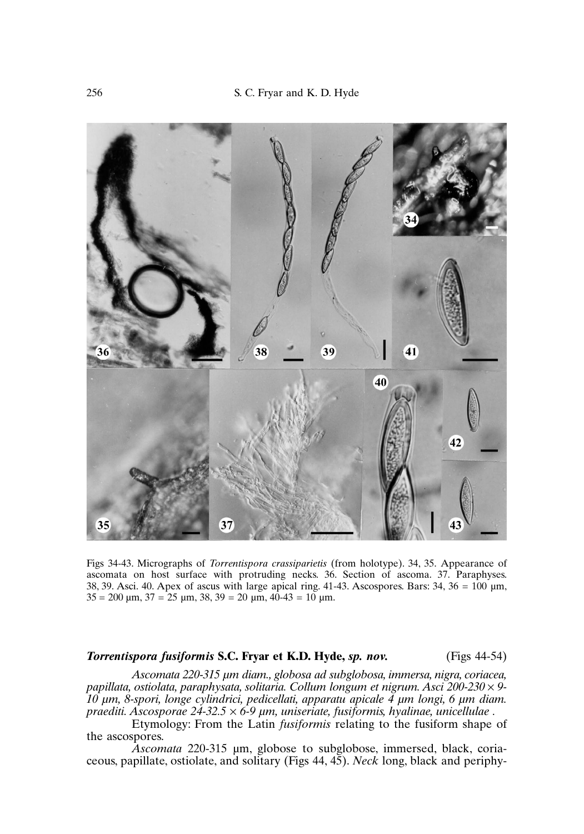

Figs 34-43. Micrographs of *Torrentispora crassiparietis* (from holotype). 34, 35. Appearance of ascomata on host surface with protruding necks. 36. Section of ascoma. 37. Paraphyses. 38, 39. Asci. 40. Apex of ascus with large apical ring. 41-43. Ascospores. Bars:  $34$ ,  $36 = 100 \mu m$ ,  $35 = 200 \text{ µm}, 37 = 25 \text{ µm}, 38, 39 = 20 \text{ µm}, 40 - 43 = 10 \text{ µm}.$ 

### *Torrentispora fusiformis* **S.C. Fryar et K.D. Hyde,** *sp. nov.* (Figs 44-54)

*Ascomata 220-315 µm diam., globosa ad subglobosa, immersa, nigra, coriacea, papillata, ostiolata, paraphysata, solitaria. Collum longum et nigrum. Asci 200-230* × *9- 10 µm, 8-spori, longe cylindrici, pedicellati, apparatu apicale 4 µm longi, 6 µm diam. praediti. Ascosporae 24-32.5* × *6-9 µm, uniseriate, fusiformis, hyalinae, unicellulae .*

Etymology: From the Latin *fusiformis* relating to the fusiform shape of the ascospores.

*Ascomata* 220-315 µm, globose to subglobose, immersed, black, coriaceous, papillate, ostiolate, and solitary (Figs 44, 45). *Neck* long, black and periphy-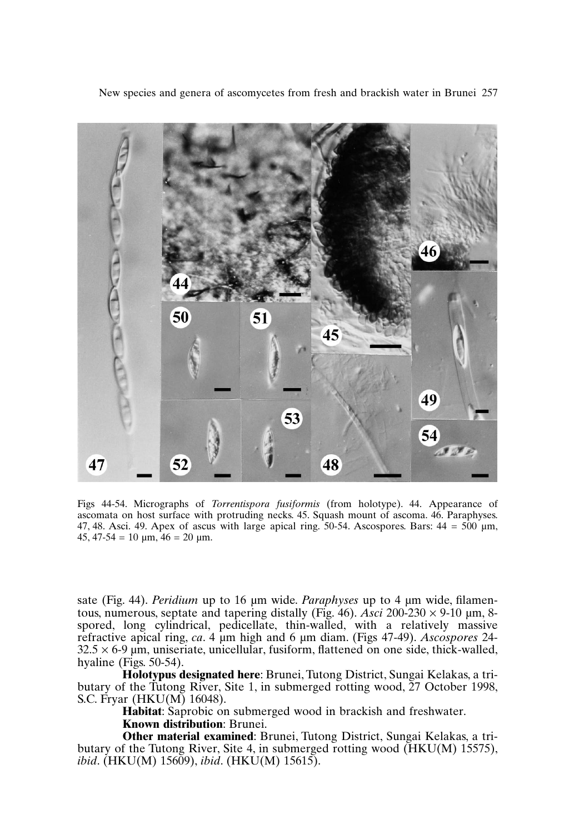

Figs 44-54. Micrographs of *Torrentispora fusiformis* (from holotype). 44. Appearance of ascomata on host surface with protruding necks. 45. Squash mount of ascoma. 46. Paraphyses. 47, 48. Asci. 49. Apex of ascus with large apical ring. 50-54. Ascospores. Bars:  $44 = 500 \mu m$ ,  $45, 47-54 = 10 \text{ µm}, 46 = 20 \text{ µm}.$ 

sate (Fig. 44). *Peridium* up to 16 µm wide. *Paraphyses* up to 4 µm wide, filamentous, numerous, septate and tapering distally (Fig. 46). *Asci* 200-230  $\times$  9-10  $\mu$ m, 8spored, long cylindrical, pedicellate, thin-walled, with a relatively massive refractive apical ring, *ca*. 4 µm high and 6 µm diam. (Figs 47-49). *Ascospores* 24-  $32.5 \times 6.9$  µm, uniseriate, unicellular, fusiform, flattened on one side, thick-walled, hyaline (Figs. 50-54).

**Holotypus designated here**: Brunei, Tutong District, Sungai Kelakas, a tributary of the Tutong River, Site 1, in submerged rotting wood, 27 October 1998, S.C. Fryar (HKU(M) 16048).

**Habitat**: Saprobic on submerged wood in brackish and freshwater. **Known distribution**: Brunei.

**Other material examined**: Brunei, Tutong District, Sungai Kelakas, a tributary of the Tutong River, Site 4, in submerged rotting wood  $(HKU(M) 15575)$ , *ibid*. (HKU(M) 15609), *ibid*. (HKU(M) 15615).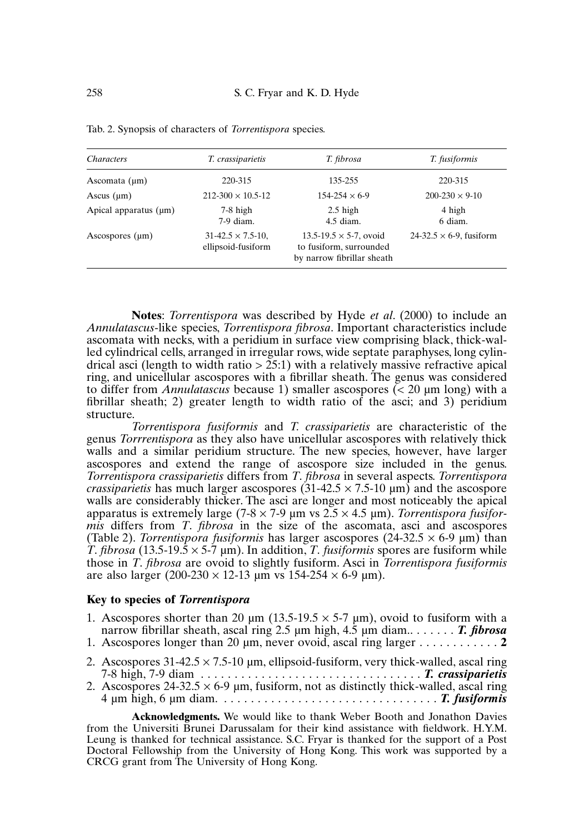| <b>Characters</b>          | T. crassiparietis                               | T. fibrosa                                                                                  | T. fusiformis                   |
|----------------------------|-------------------------------------------------|---------------------------------------------------------------------------------------------|---------------------------------|
| Ascomata $(\mu m)$         | 220-315                                         | 135-255                                                                                     | 220-315                         |
| Ascus $(\mu m)$            | $212-300 \times 10.5-12$                        | $154 - 254 \times 6 - 9$                                                                    | $200 - 230 \times 9 - 10$       |
| Apical apparatus $(\mu m)$ | $7-8$ high<br>7-9 diam.                         | $2.5$ high<br>$4.5$ diam.                                                                   | 4 high<br>6 diam.               |
| Ascospores $(\mu m)$       | $31-42.5 \times 7.5-10$ ,<br>ellipsoid-fusiform | $13.5 - 19.5 \times 5 - 7$ , ovoid<br>to fusiform, surrounded<br>by narrow fibrillar sheath | $24-32.5 \times 6-9$ , fusiform |

Tab. 2. Synopsis of characters of *Torrentispora* species.

**Notes**: *Torrentispora* was described by Hyde *et al*. (2000) to include an *Annulatascus*-like species, *Torrentispora fibrosa*. Important characteristics include ascomata with necks, with a peridium in surface view comprising black, thick-walled cylindrical cells, arranged in irregular rows, wide septate paraphyses, long cylindrical asci (length to width ratio  $> 25:1$ ) with a relatively massive refractive apical ring, and unicellular ascospores with a fibrillar sheath. The genus was considered to differ from *Annulatascus* because 1) smaller ascospores (< 20 µm long) with a fibrillar sheath; 2) greater length to width ratio of the asci; and 3) peridium structure.

*Torrentispora fusiformis* and *T. crassiparietis* are characteristic of the genus *Torrrentispora* as they also have unicellular ascospores with relatively thick walls and a similar peridium structure. The new species, however, have larger ascospores and extend the range of ascospore size included in the genus. *Torrentispora crassiparietis* differs from *T*. *fibrosa* in several aspects. *Torrentispora crassiparietis* has much larger ascospores  $(31-42.5 \times 7.5-10 \mu m)$  and the ascospore walls are considerably thicker. The asci are longer and most noticeably the apical apparatus is extremely large (7-8 × 7-9 µm vs 2.5 × 4.5 µm). *Torrentispora fusiformis* differs from *T*. *fibrosa* in the size of the ascomata, asci and ascospores (Table 2). *Torrentispora fusiformis* has larger ascospores ( $24-32.5 \times 6-9 \mu m$ ) than *T*. *fibrosa* (13.5-19.5  $\times$  5-7 µm). In addition, *T*. *fusiformis* spores are fusiform while those in *T*. *fibrosa* are ovoid to slightly fusiform. Asci in *Torrentispora fusiformis* are also larger  $(200-230 \times 12-13 \text{ µm vs } 154-254 \times 6-9 \text{ µm}).$ 

### **Key to species of** *Torrentispora*

- 1. Ascospores shorter than 20  $\mu$ m (13.5-19.5  $\times$  5-7  $\mu$ m), ovoid to fusiform with a narrow fibrillar sheath, ascal ring 2.5 µm high, 4.5 µm diam....... **T. fibrosa**
- 1. Ascospores longer than 20  $\mu$ m, never ovoid, ascal ring larger  $\dots \dots \dots$  2
- 2. Ascospores  $31-42.5 \times 7.5-10$  µm, ellipsoid-fusiform, very thick-walled, ascal ring 7-8 high, 7-9 diam . . . . . . . . . . . . . . . . . . . . . . . . . . . . . . . . . *T. crassiparietis*
- 2. Ascospores  $24-32.5 \times 6-9$  µm, fusiform, not as distinctly thick-walled, ascal ring 4 µm high, 6 µm diam. . . . . . . . . . . . . . . . . . . . . . . . . . . . . . . . . *T. fusiformis*

**Acknowledgments.** We would like to thank Weber Booth and Jonathon Davies from the Universiti Brunei Darussalam for their kind assistance with fieldwork. H.Y.M. Leung is thanked for technical assistance. S.C. Fryar is thanked for the support of a Post Doctoral Fellowship from the University of Hong Kong. This work was supported by a CRCG grant from The University of Hong Kong.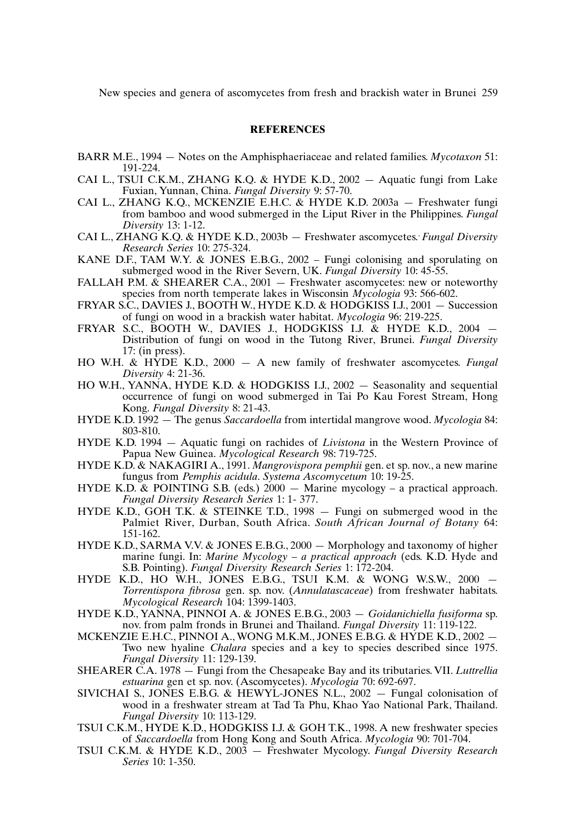#### **REFERENCES**

- BARR M.E., 1994 Notes on the Amphisphaeriaceae and related families. *Mycotaxon* 51: 191-224.
- CAI L., TSUI C.K.M., ZHANG K.Q. & HYDE K.D., 2002 Aquatic fungi from Lake Fuxian, Yunnan, China. *Fungal Diversity* 9: 57-70.
- CAI L., ZHANG K.Q., MCKENZIE E.H.C. & HYDE K.D. 2003a Freshwater fungi from bamboo and wood submerged in the Liput River in the Philippines. *Fungal Diversity* 13: 1-12.
- CAI L., ZHANG K.Q. & HYDE K.D., 2003b Freshwater ascomycetes.. *Fungal Diversity Research Series* 10: 275-324.
- KANE D.F., TAM W.Y.  $\&$  JONES E.B.G., 2002 Fungi colonising and sporulating on submerged wood in the River Severn, UK. *Fungal Diversity* 10: 45-55.
- FALLAH P.M.  $\&$  SHEARER C.A., 2001 Freshwater ascomycetes: new or noteworthy species from north temperate lakes in Wisconsin *Mycologia* 93: 566-602.
- FRYAR S.C., DAVIES J., BOOTH W., HYDE K.D. & HODGKISS I.J., 2001 Succession of fungi on wood in a brackish water habitat. *Mycologia* 96: 219-225.
- FRYAR S.C., BOOTH W., DAVIES J., HODGKISS I.J. & HYDE K.D., 2004 Distribution of fungi on wood in the Tutong River, Brunei. *Fungal Diversity*  17: (in press).
- HO W.H. & HYDE K.D., 2000 A new family of freshwater ascomycetes. *Fungal Diversity* 4: 21-36.
- HO W.H., YANNA, HYDE K.D. & HODGKISS I.J., 2002 Seasonality and sequential occurrence of fungi on wood submerged in Tai Po Kau Forest Stream, Hong Kong. *Fungal Diversity* 8: 21-43.
- HYDE K.D. 1992 The genus *Saccardoella* from intertidal mangrove wood. *Mycologia* 84: 803-810.
- HYDE K.D. 1994 Aquatic fungi on rachides of *Livistona* in the Western Province of Papua New Guinea. *Mycological Research* 98: 719-725.
- HYDE K.D. & NAKAGIRI A., 1991. *Mangrovispora pemphii* gen. et sp. nov., a new marine fungus from *Pemphis acidula*. *Systema Ascomycetum* 10: 19-25.
- HYDE K.D.  $\&$  POINTING S.B. (eds.) 2000 Marine mycology a practical approach. *Fungal Diversity Research Series* 1: 1- 377.
- HYDE K.D., GOH T.K. & STEINKE T.D., 1998 Fungi on submerged wood in the Palmiet River, Durban, South Africa. *South African Journal of Botany* 64: 151-162.
- HYDE K.D., SARMA V.V. & JONES E.B.G., 2000 Morphology and taxonomy of higher marine fungi. In: *Marine Mycology – a practical approach* (eds. K.D. Hyde and S.B. Pointing). *Fungal Diversity Research Series* 1: 172-204.
- HYDE K.D., HO W.H., JONES E.B.G., TSUI K.M. & WONG W.S.W., 2000 *Torrentispora fibrosa* gen. sp. nov. (*Annulatascaceae*) from freshwater habitats. *Mycological Research* 104: 1399-1403.
- HYDE K.D., YANNA, PINNOI A. & JONES E.B.G., 2003 *Goidanichiella fusiforma* sp. nov. from palm fronds in Brunei and Thailand. *Fungal Diversity* 11: 119-122.
- MCKENZIE E.H.C., PINNOI A., WONG M.K.M., JONES E.B.G. & HYDE K.D., 2002 Two new hyaline *Chalara* species and a key to species described since 1975. *Fungal Diversity* 11: 129-139.
- SHEARER C.A. 1978 Fungi from the Chesapeake Bay and its tributaries. VII. *Luttrellia estuarina* gen et sp. nov. (Ascomycetes). *Mycologia* 70: 692-697.
- SIVICHAI S., JONES E.B.G. & HEWYL-JONES N.L.,  $2002 -$  Fungal colonisation of wood in a freshwater stream at Tad Ta Phu, Khao Yao National Park, Thailand. *Fungal Diversity* 10: 113-129.
- TSUI C.K.M., HYDE K.D., HODGKISS I.J. & GOH T.K., 1998. A new freshwater species of *Saccardoella* from Hong Kong and South Africa. *Mycologia* 90: 701-704.
- TSUI C.K.M. & HYDE K.D., 2003 Freshwater Mycology. *Fungal Diversity Research Series* 10: 1-350.